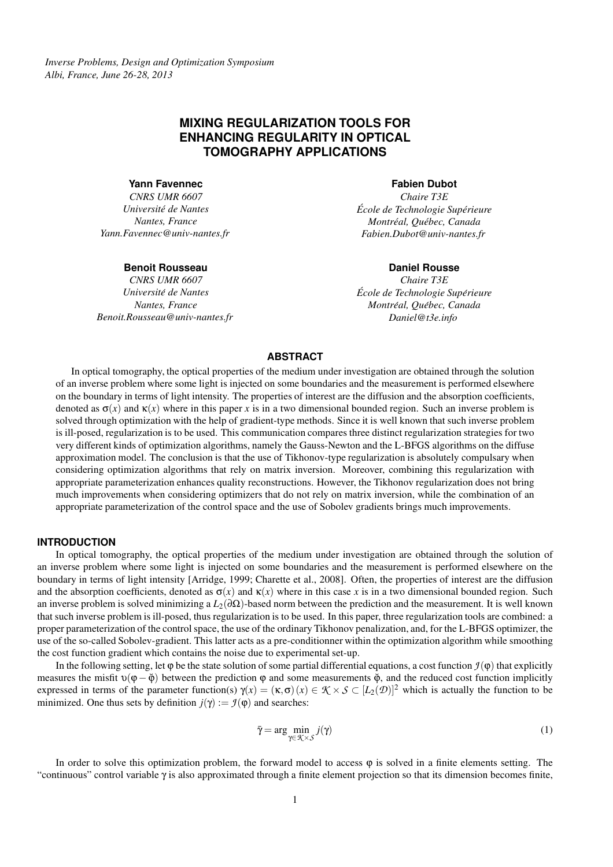# **MIXING REGULARIZATION TOOLS FOR ENHANCING REGULARITY IN OPTICAL TOMOGRAPHY APPLICATIONS**

**Yann Favennec**

*CNRS UMR 6607 Universite de Nantes ´ Nantes, France Yann.Favennec@univ-nantes.fr*

#### **Benoit Rousseau**

*CNRS UMR 6607 Universite de Nantes ´ Nantes, France Benoit.Rousseau@univ-nantes.fr*

#### **Fabien Dubot**

*Chaire T3E*  $École de Technologie Supérieure$ *Montreal, Qu ´ ebec, Canada ´ Fabien.Dubot@univ-nantes.fr*

### **Daniel Rousse**

*Chaire T3E*  $École de Technologie Supérieure$ *Montréal, Québec, Canada Daniel@t3e.info*

## **ABSTRACT**

In optical tomography, the optical properties of the medium under investigation are obtained through the solution of an inverse problem where some light is injected on some boundaries and the measurement is performed elsewhere on the boundary in terms of light intensity. The properties of interest are the diffusion and the absorption coefficients, denoted as  $\sigma(x)$  and  $\kappa(x)$  where in this paper x is in a two dimensional bounded region. Such an inverse problem is solved through optimization with the help of gradient-type methods. Since it is well known that such inverse problem is ill-posed, regularization is to be used. This communication compares three distinct regularization strategies for two very different kinds of optimization algorithms, namely the Gauss-Newton and the L-BFGS algorithms on the diffuse approximation model. The conclusion is that the use of Tikhonov-type regularization is absolutely compulsary when considering optimization algorithms that rely on matrix inversion. Moreover, combining this regularization with appropriate parameterization enhances quality reconstructions. However, the Tikhonov regularization does not bring much improvements when considering optimizers that do not rely on matrix inversion, while the combination of an appropriate parameterization of the control space and the use of Sobolev gradients brings much improvements.

### **INTRODUCTION**

In optical tomography, the optical properties of the medium under investigation are obtained through the solution of an inverse problem where some light is injected on some boundaries and the measurement is performed elsewhere on the boundary in terms of light intensity [Arridge, 1999; Charette et al., 2008]. Often, the properties of interest are the diffusion and the absorption coefficients, denoted as  $\sigma(x)$  and  $\kappa(x)$  where in this case x is in a two dimensional bounded region. Such an inverse problem is solved minimizing a *L*2(∂Ω)-based norm between the prediction and the measurement. It is well known that such inverse problem is ill-posed, thus regularization is to be used. In this paper, three regularization tools are combined: a proper parameterization of the control space, the use of the ordinary Tikhonov penalization, and, for the L-BFGS optimizer, the use of the so-called Sobolev-gradient. This latter acts as a pre-conditionner within the optimization algorithm while smoothing the cost function gradient which contains the noise due to experimental set-up.

In the following setting, let  $\varphi$  be the state solution of some partial differential equations, a cost function  $\mathcal{I}(\varphi)$  that explicitly measures the misfit  $υ(φ – ϕ)$  between the prediction φ and some measurements  $φ$ , and the reduced cost function implicitly expressed in terms of the parameter function(s)  $\gamma(x) = (\kappa, \sigma)(x) \in \mathcal{K} \times \mathcal{S} \subset [L_2(\mathcal{D})]^2$  which is actually the function to be minimized. One thus sets by definition  $j(y) := \mathcal{I}(\phi)$  and searches:

$$
\bar{\gamma} = \arg\min_{\gamma \in \mathcal{K} \times \mathcal{S}} j(\gamma) \tag{1}
$$

In order to solve this optimization problem, the forward model to access  $\varphi$  is solved in a finite elements setting. The "continuous" control variable γ is also approximated through a finite element projection so that its dimension becomes finite,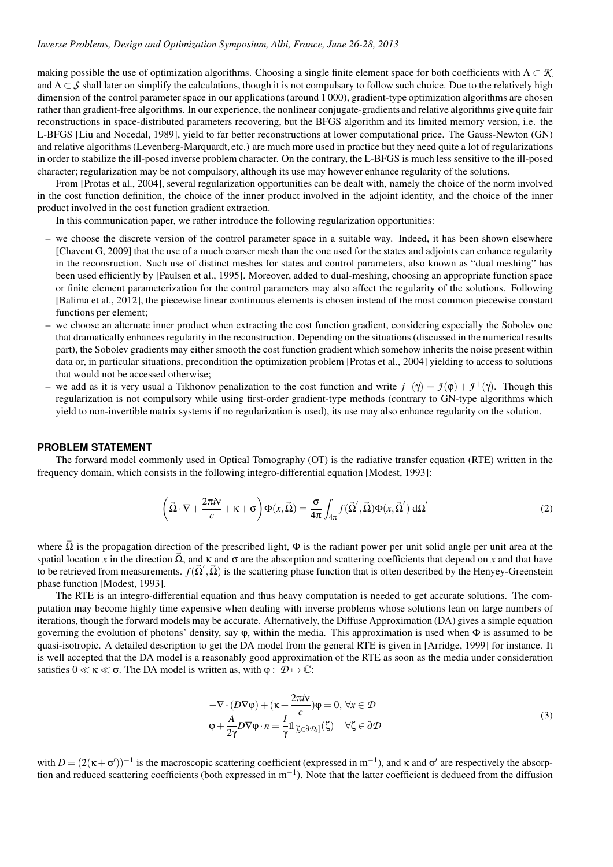#### *Inverse Problems, Design and Optimization Symposium, Albi, France, June 26-28, 2013*

making possible the use of optimization algorithms. Choosing a single finite element space for both coefficients with  $\Lambda \subset \mathcal{K}$ and  $\Lambda \subset S$  shall later on simplify the calculations, though it is not compulsary to follow such choice. Due to the relatively high dimension of the control parameter space in our applications (around 1000), gradient-type optimization algorithms are chosen rather than gradient-free algorithms. In our experience, the nonlinear conjugate-gradients and relative algorithms give quite fair reconstructions in space-distributed parameters recovering, but the BFGS algorithm and its limited memory version, i.e. the L-BFGS [Liu and Nocedal, 1989], yield to far better reconstructions at lower computational price. The Gauss-Newton (GN) and relative algorithms (Levenberg-Marquardt, etc.) are much more used in practice but they need quite a lot of regularizations in order to stabilize the ill-posed inverse problem character. On the contrary, the L-BFGS is much less sensitive to the ill-posed character; regularization may be not compulsory, although its use may however enhance regularity of the solutions.

From [Protas et al., 2004], several regularization opportunities can be dealt with, namely the choice of the norm involved in the cost function definition, the choice of the inner product involved in the adjoint identity, and the choice of the inner product involved in the cost function gradient extraction.

In this communication paper, we rather introduce the following regularization opportunities:

- we choose the discrete version of the control parameter space in a suitable way. Indeed, it has been shown elsewhere [Chavent G, 2009] that the use of a much coarser mesh than the one used for the states and adjoints can enhance regularity in the reconsruction. Such use of distinct meshes for states and control parameters, also known as "dual meshing" has been used efficiently by [Paulsen et al., 1995]. Moreover, added to dual-meshing, choosing an appropriate function space or finite element parameterization for the control parameters may also affect the regularity of the solutions. Following [Balima et al., 2012], the piecewise linear continuous elements is chosen instead of the most common piecewise constant functions per element;
- we choose an alternate inner product when extracting the cost function gradient, considering especially the Sobolev one that dramatically enhances regularity in the reconstruction. Depending on the situations (discussed in the numerical results part), the Sobolev gradients may either smooth the cost function gradient which somehow inherits the noise present within data or, in particular situations, precondition the optimization problem [Protas et al., 2004] yielding to access to solutions that would not be accessed otherwise;
- we add as it is very usual a Tikhonov penalization to the cost function and write  $j^+(\gamma) = \mathcal{I}(\phi) + \mathcal{I}^+(\gamma)$ . Though this regularization is not compulsory while using first-order gradient-type methods (contrary to GN-type algorithms which yield to non-invertible matrix systems if no regularization is used), its use may also enhance regularity on the solution.

#### **PROBLEM STATEMENT**

The forward model commonly used in Optical Tomography (OT) is the radiative transfer equation (RTE) written in the frequency domain, which consists in the following integro-differential equation [Modest, 1993]:

$$
\left(\vec{\Omega} \cdot \nabla + \frac{2\pi i v}{c} + \kappa + \sigma\right) \Phi(x, \vec{\Omega}) = \frac{\sigma}{4\pi} \int_{4\pi} f(\vec{\Omega}', \vec{\Omega}) \Phi(x, \vec{\Omega}') d\Omega'
$$
\n(2)

where  $\vec{\Omega}$  is the propagation direction of the prescribed light,  $\Phi$  is the radiant power per unit solid angle per unit area at the spatial location *x* in the direction  $\vec{\Omega}$ , and  $\kappa$  and  $\sigma$  are the absorption and scattering coefficients that depend on *x* and that have to be retrieved from measurements.  $f(\vec{\Omega}', \vec{\Omega})$  is the scattering phase function that is often described by the Henyey-Greenstein phase function [Modest, 1993].

The RTE is an integro-differential equation and thus heavy computation is needed to get accurate solutions. The computation may become highly time expensive when dealing with inverse problems whose solutions lean on large numbers of iterations, though the forward models may be accurate. Alternatively, the Diffuse Approximation (DA) gives a simple equation governing the evolution of photons' density, say  $\varphi$ , within the media. This approximation is used when  $\Phi$  is assumed to be quasi-isotropic. A detailed description to get the DA model from the general RTE is given in [Arridge, 1999] for instance. It is well accepted that the DA model is a reasonably good approximation of the RTE as soon as the media under consideration satisfies  $0 \ll \kappa \ll \sigma$ . The DA model is written as, with  $\varphi : \mathcal{D} \mapsto \mathbb{C}$ :

$$
-\nabla \cdot (D\nabla \varphi) + (\kappa + \frac{2\pi i \mathbf{v}}{c})\varphi = 0, \forall x \in \mathcal{D}
$$
  

$$
\varphi + \frac{A}{2\gamma}D\nabla \varphi \cdot n = \frac{I}{\gamma}1_{\left[\zeta \in \partial \mathcal{D}_S\right]}(\zeta) \quad \forall \zeta \in \partial \mathcal{D}
$$
 (3)

with  $D = (2(\kappa + \sigma'))^{-1}$  is the macroscopic scattering coefficient (expressed in m<sup>-1</sup>), and  $\kappa$  and  $\sigma'$  are respectively the absorption and reduced scattering coefficients (both expressed in m<sup>-1</sup>). Note that the latter coefficient is deduced from the diffusion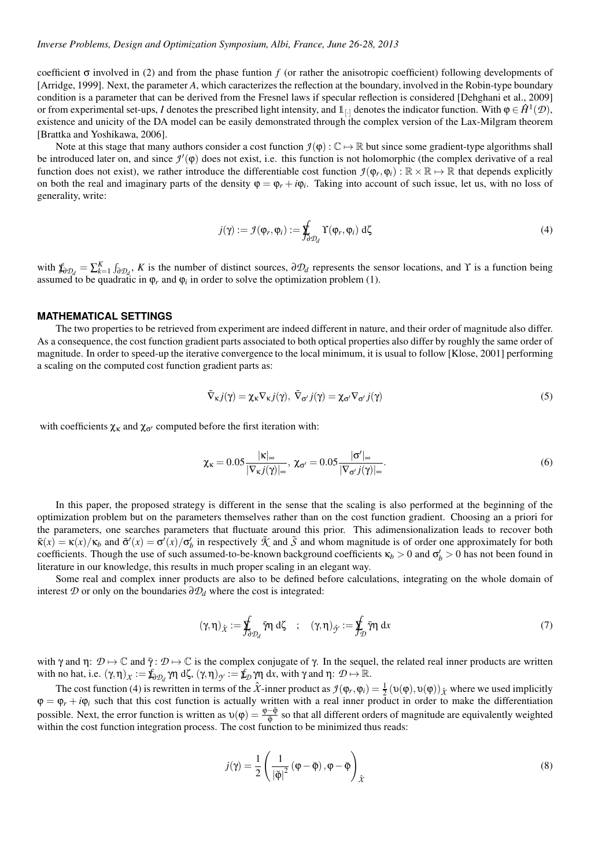coefficient σ involved in (2) and from the phase funtion *f* (or rather the anisotropic coefficient) following developments of [Arridge, 1999]. Next, the parameter *A*, which caracterizes the reflection at the boundary, involved in the Robin-type boundary condition is a parameter that can be derived from the Fresnel laws if specular reflection is considered [Dehghani et al., 2009] or from experimental set-ups, *I* denotes the prescribed light intensity, and  $1_{[\cdot]}$  denotes the indicator function. With  $\varphi \in \hat{H}^1(\mathcal{D})$ , existence and unicity of the DA model can be easily demonstrated through the complex version of the Lax-Milgram theorem [Brattka and Yoshikawa, 2006].

Note at this stage that many authors consider a cost function  $\mathcal{I}(\varphi): \mathbb{C} \to \mathbb{R}$  but since some gradient-type algorithms shall be introduced later on, and since  $\mathcal{I}'(\varphi)$  does not exist, i.e. this function is not holomorphic (the complex derivative of a real function does not exist), we rather introduce the differentiable cost function  $\mathcal{I}(\varphi_r,\varphi_i)$ :  $\mathbb{R}\times\mathbb{R}\mapsto\mathbb{R}$  that depends explicitly on both the real and imaginary parts of the density  $\varphi = \varphi_r + i\varphi_i$ . Taking into account of such issue, let us, with no loss of generality, write:

$$
j(\gamma) := \mathcal{I}(\varphi_r, \varphi_i) := \oint_{\partial \mathcal{D}_d} \Upsilon(\varphi_r, \varphi_i) \, d\zeta \tag{4}
$$

with  $\oint_{\partial \mathcal{D}_d} = \sum_{k=1}^K \int_{\partial \mathcal{D}_d}$ , *K* is the number of distinct sources,  $\partial \mathcal{D}_d$  represents the sensor locations, and *Y* is a function being assumed to be quadratic in  $\varphi_r$  and  $\varphi_i$  in order to solve the optimization problem (1).

#### **MATHEMATICAL SETTINGS**

The two properties to be retrieved from experiment are indeed different in nature, and their order of magnitude also differ. As a consequence, the cost function gradient parts associated to both optical properties also differ by roughly the same order of magnitude. In order to speed-up the iterative convergence to the local minimum, it is usual to follow [Klose, 2001] performing a scaling on the computed cost function gradient parts as:

$$
\tilde{\nabla}_{\kappa} j(\gamma) = \chi_{\kappa} \nabla_{\kappa} j(\gamma), \ \tilde{\nabla}_{\sigma'} j(\gamma) = \chi_{\sigma'} \nabla_{\sigma'} j(\gamma)
$$
\n(5)

with coefficients  $\chi_{\kappa}$  and  $\chi_{\sigma'}$  computed before the first iteration with:

$$
\chi_{\kappa} = 0.05 \frac{|\kappa|_{\infty}}{|\nabla_{\kappa} j(\gamma)|_{\infty}}, \ \chi_{\sigma'} = 0.05 \frac{|\sigma'|_{\infty}}{|\nabla_{\sigma'} j(\gamma)|_{\infty}}.
$$
\n
$$
(6)
$$

In this paper, the proposed strategy is different in the sense that the scaling is also performed at the beginning of the optimization problem but on the parameters themselves rather than on the cost function gradient. Choosing an a priori for the parameters, one searches parameters that fluctuate around this prior. This adimensionalization leads to recover both  $\tilde{\kappa}(x) = \kappa(x)/\kappa_b$  and  $\tilde{\sigma}'(x) = \sigma'(x)/\sigma'_b$  in respectively  $\tilde{\mathcal{K}}$  and  $\tilde{\mathcal{S}}$  and whom magnitude is of order one approximately for both coefficients. Though the use of such assumed-to-be-known background coefficients  $\kappa_b > 0$  and  $\sigma'_b > 0$  has not been found in literature in our knowledge, this results in much proper scaling in an elegant way.

Some real and complex inner products are also to be defined before calculations, integrating on the whole domain of interest  $D$  or only on the boundaries  $\partial D_d$  where the cost is integrated:

$$
(\gamma, \eta)_{\hat{\chi}} := \oint_{\partial \mathcal{D}_d} \overline{\eta} \, d\zeta \quad ; \quad (\gamma, \eta)_{\hat{\gamma}} := \oint_{\mathcal{D}} \overline{\eta} \, dx \tag{7}
$$

with  $\gamma$  and  $\eta: \mathcal{D} \mapsto \mathbb{C}$  and  $\bar{\gamma}: \mathcal{D} \mapsto \mathbb{C}$  is the complex conjugate of  $\gamma$ . In the sequel, the related real inner products are written with no hat, i.e.  $(\gamma, \eta)_X := \oint_{\partial \mathcal{D}_d} \gamma \eta \ d\zeta$ ,  $(\gamma, \eta)_\gamma := \oint_{\mathcal{D}} \gamma \eta \ dx$ , with  $\gamma$  and  $\eta: \mathcal{D} \mapsto \mathbb{R}$ .

The cost function (4) is rewritten in terms of the  $\hat{X}$ -inner product as  $\mathcal{I}(\varphi_r,\varphi_i) = \frac{1}{2} (\upsilon(\varphi),\upsilon(\varphi))_{\hat{X}}$  where we used implicitly  $\varphi = \varphi_r + i\varphi_i$  such that this cost function is actually written with a real inner product in order to make the differentiation possible. Next, the error function is written as  $v(\phi) = \frac{\phi - \check{\phi}}{\check{\phi}}$  so that all different orders of magnitude are equivalently weighted within the cost function integration process. The cost function to be minimized thus reads:

$$
j(\gamma) = \frac{1}{2} \left( \frac{1}{|\breve{\phi}|^2} (\phi - \breve{\phi}), \phi - \breve{\phi} \right)_{\hat{\chi}}
$$
 (8)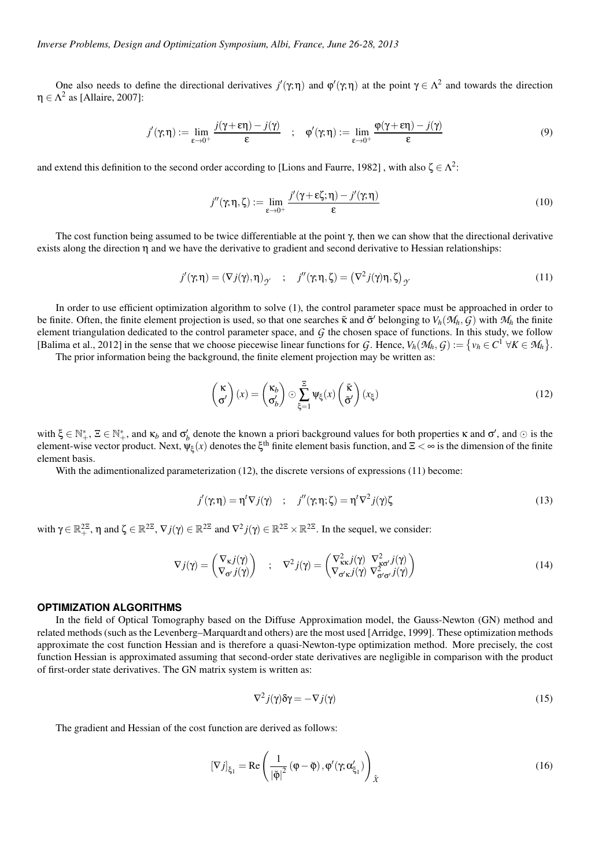One also needs to define the directional derivatives  $j'(\gamma;\eta)$  and  $\varphi'(\gamma;\eta)$  at the point  $\gamma \in \Lambda^2$  and towards the direction  $\eta \in \Lambda^2$  as [Allaire, 2007]:

$$
j'(\gamma,\eta) := \lim_{\varepsilon \to 0^+} \frac{j(\gamma + \varepsilon \eta) - j(\gamma)}{\varepsilon} \quad ; \quad \varphi'(\gamma,\eta) := \lim_{\varepsilon \to 0^+} \frac{\varphi(\gamma + \varepsilon \eta) - j(\gamma)}{\varepsilon} \tag{9}
$$

and extend this definition to the second order according to [Lions and Faurre, 1982], with also  $\zeta \in \Lambda^2$ :

$$
j''(\gamma;\eta,\zeta) := \lim_{\varepsilon \to 0^+} \frac{j'(\gamma + \varepsilon \zeta;\eta) - j'(\gamma;\eta)}{\varepsilon}
$$
(10)

The cost function being assumed to be twice differentiable at the point  $\gamma$ , then we can show that the directional derivative exists along the direction η and we have the derivative to gradient and second derivative to Hessian relationships:

$$
j'(\gamma,\eta) = (\nabla j(\gamma),\eta)_{\gamma} \quad ; \quad j''(\gamma,\eta,\zeta) = (\nabla^2 j(\gamma)\eta,\zeta)_{\gamma}
$$
 (11)

In order to use efficient optimization algorithm to solve (1), the control parameter space must be approached in order to be finite. Often, the finite element projection is used, so that one searches  $\tilde{\kappa}$  and  $\tilde{\sigma}'$  belonging to  $V_h(\mathcal{M}_h, \mathcal{G})$  with  $\mathcal{M}_h$  the finite element triangulation dedicated to the control parameter space, and *G* the chosen space of functions. In this study, we follow [Balima et al., 2012] in the sense that we choose piecewise linear functions for *G*. Hence,  $V_h(\mathcal{M}_h, G) := \{v_h \in C^1 \; \forall K \in \mathcal{M}_h\}$ .

The prior information being the background, the finite element projection may be written as:

$$
\begin{pmatrix} \kappa \\ \sigma' \end{pmatrix} (x) = \begin{pmatrix} \kappa_b \\ \sigma'_b \end{pmatrix} \odot \sum_{\xi=1}^{\Xi} \Psi_{\xi}(x) \begin{pmatrix} \tilde{\kappa} \\ \tilde{\sigma}' \end{pmatrix} (x_{\xi}) \tag{12}
$$

with  $\xi \in \mathbb{N}_+^*$ ,  $\Xi \in \mathbb{N}_+^*$ , and  $\kappa_b$  and  $\sigma'_b$  denote the known a priori background values for both properties  $\kappa$  and  $\sigma'$ , and  $\odot$  is the element-wise vector product. Next,  $\psi_{\xi}(x)$  denotes the ξ<sup>th</sup> finite element basis function, and  $\Xi < \infty$  is the dimension of the finite element basis.

With the adimentionalized parameterization (12), the discrete versions of expressions (11) become:

$$
j'(\gamma;\eta) = \eta^t \nabla j(\gamma) \quad ; \quad j''(\gamma;\eta;\zeta) = \eta^t \nabla^2 j(\gamma)\zeta \tag{13}
$$

with  $\gamma \in \mathbb{R}^{2\mathbb{Z}}$ ,  $\eta$  and  $\zeta \in \mathbb{R}^{2\mathbb{Z}}$ ,  $\nabla j(\gamma) \in \mathbb{R}^{2\mathbb{Z}}$  and  $\nabla^2 j(\gamma) \in \mathbb{R}^{2\mathbb{Z}} \times \mathbb{R}^{2\mathbb{Z}}$ . In the sequel, we consider:

$$
\nabla j(\gamma) = \begin{pmatrix} \nabla_{\kappa} j(\gamma) \\ \nabla_{\sigma'} j(\gamma) \end{pmatrix} ; \nabla^2 j(\gamma) = \begin{pmatrix} \nabla_{\kappa\kappa}^2 j(\gamma) & \nabla_{\kappa\sigma'}^2 j(\gamma) \\ \nabla_{\sigma'\kappa} j(\gamma) & \nabla_{\sigma'\sigma'}^2 j(\gamma) \end{pmatrix}
$$
(14)

### **OPTIMIZATION ALGORITHMS**

In the field of Optical Tomography based on the Diffuse Approximation model, the Gauss-Newton (GN) method and related methods (such as the Levenberg–Marquardt and others) are the most used [Arridge, 1999]. These optimization methods approximate the cost function Hessian and is therefore a quasi-Newton-type optimization method. More precisely, the cost function Hessian is approximated assuming that second-order state derivatives are negligible in comparison with the product of first-order state derivatives. The GN matrix system is written as:

$$
\nabla^2 j(\gamma)\delta\gamma = -\nabla j(\gamma) \tag{15}
$$

The gradient and Hessian of the cost function are derived as follows:

$$
[\nabla j]_{\xi_1} = \text{Re}\left(\frac{1}{|\check{\phi}|^2}(\phi - \check{\phi}), \phi'(\gamma, \alpha_{\xi_1}')\right)_{\hat{\mathcal{X}}}
$$
(16)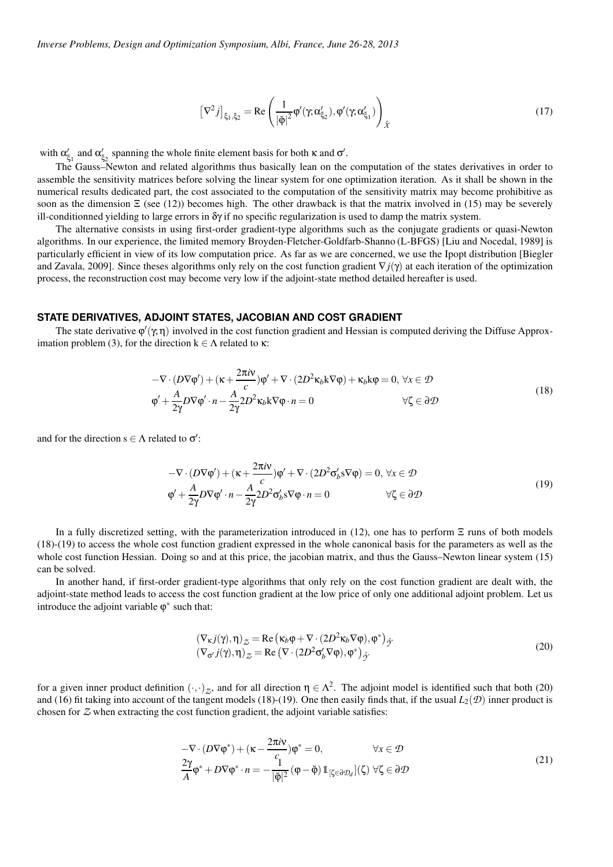$$
\left[\nabla^2 j\right]_{\xi_1,\xi_2} = \text{Re}\left(\frac{1}{|\check{\phi}|^2} \varphi'(\gamma;\alpha_{\xi_2}'), \varphi'(\gamma;\alpha_{\xi_1}')\right)_{\hat{\mathcal{X}}}
$$
(17)

with  $\alpha'_{\xi_1}$  and  $\alpha'_{\xi_2}$  spanning the whole finite element basis for both  $\kappa$  and  $\sigma'$ .

The Gauss–Newton and related algorithms thus basically lean on the computation of the states derivatives in order to assemble the sensitivity matrices before solving the linear system for one optimization iteration. As it shall be shown in the numerical results dedicated part, the cost associated to the computation of the sensitivity matrix may become prohibitive as soon as the dimension  $\Xi$  (see (12)) becomes high. The other drawback is that the matrix involved in (15) may be severely ill-conditionned yielding to large errors in  $\delta \gamma$  if no specific regularization is used to damp the matrix system.

The alternative consists in using first-order gradient-type algorithms such as the conjugate gradients or quasi-Newton algorithms. In our experience, the limited memory Broyden-Fletcher-Goldfarb-Shanno (L-BFGS) [Liu and Nocedal, 1989] is particularly efficient in view of its low computation price. As far as we are concerned, we use the Ipopt distribution [Biegler and Zavala, 2009]. Since theses algorithms only rely on the cost function gradient ∇*j*(γ) at each iteration of the optimization process, the reconstruction cost may become very low if the adjoint-state method detailed hereafter is used.

#### **STATE DERIVATIVES, ADJOINT STATES, JACOBIAN AND COST GRADIENT**

The state derivative  $\varphi'(\gamma,\eta)$  involved in the cost function gradient and Hessian is computed deriving the Diffuse Approximation problem (3), for the direction  $k \in \Lambda$  related to κ:

$$
-\nabla \cdot (D\nabla \varphi') + (\kappa + \frac{2\pi i \mathbf{v}}{c})\varphi' + \nabla \cdot (2D^2 \kappa_b \mathbf{k} \nabla \varphi) + \kappa_b \mathbf{k} \varphi = 0, \forall x \in \mathcal{D}
$$
  

$$
\varphi' + \frac{A}{2\gamma}D\nabla \varphi' \cdot n - \frac{A}{2\gamma}2D^2 \kappa_b \mathbf{k} \nabla \varphi \cdot n = 0 \qquad \forall \zeta \in \partial \mathcal{D}
$$
 (18)

and for the direction  $s \in \Lambda$  related to  $\sigma'$ :

$$
-\nabla \cdot (D\nabla \varphi') + (\kappa + \frac{2\pi i \mathbf{v}}{c})\varphi' + \nabla \cdot (2D^2 \sigma_b' s \nabla \varphi) = 0, \forall x \in \mathcal{D}
$$
  

$$
\varphi' + \frac{A}{2\gamma}D\nabla \varphi' \cdot n - \frac{A}{2\gamma}2D^2 \sigma_b' s \nabla \varphi \cdot n = 0 \qquad \forall \zeta \in \partial \mathcal{D}
$$
 (19)

In a fully discretized setting, with the parameterization introduced in (12), one has to perform Ξ runs of both models (18)-(19) to access the whole cost function gradient expressed in the whole canonical basis for the parameters as well as the whole cost function Hessian. Doing so and at this price, the jacobian matrix, and thus the Gauss–Newton linear system (15) can be solved.

In another hand, if first-order gradient-type algorithms that only rely on the cost function gradient are dealt with, the adjoint-state method leads to access the cost function gradient at the low price of only one additional adjoint problem. Let us introduce the adjoint variable  $\varphi^*$  such that:

$$
\begin{aligned} \left(\nabla_{\kappa} j(\gamma), \eta\right)_{\mathcal{Z}} &= \text{Re}\left(\kappa_b \varphi + \nabla \cdot (2D^2 \kappa_b \nabla \varphi), \varphi^*\right)_{\hat{\mathcal{Y}}} \\ \left(\nabla_{\sigma'} j(\gamma), \eta\right)_{\mathcal{Z}} &= \text{Re}\left(\nabla \cdot (2D^2 \sigma_b' \nabla \varphi), \varphi^*\right)_{\hat{\mathcal{Y}}} \end{aligned} \tag{20}
$$

for a given inner product definition  $(\cdot, \cdot)_Z$ , and for all direction  $\eta \in \Lambda^2$ . The adjoint model is identified such that both (20) and (16) fit taking into account of the tangent models (18)-(19). One then easily finds that, if the usual  $L_2(\mathcal{D})$  inner product is chosen for *Z* when extracting the cost function gradient, the adjoint variable satisfies:

$$
-\nabla \cdot (D\nabla \varphi^*) + (\kappa - \frac{2\pi i v}{c})\varphi^* = 0, \qquad \forall x \in \mathcal{D}
$$
  

$$
\frac{2\gamma}{A}\varphi^* + D\nabla \varphi^* \cdot n = -\frac{1}{|\breve{\varphi}|^2} (\varphi - \breve{\varphi}) 1_{\left[\zeta \in \partial \mathcal{D}_d\right]}(\zeta) \ \forall \zeta \in \partial \mathcal{D}
$$
 (21)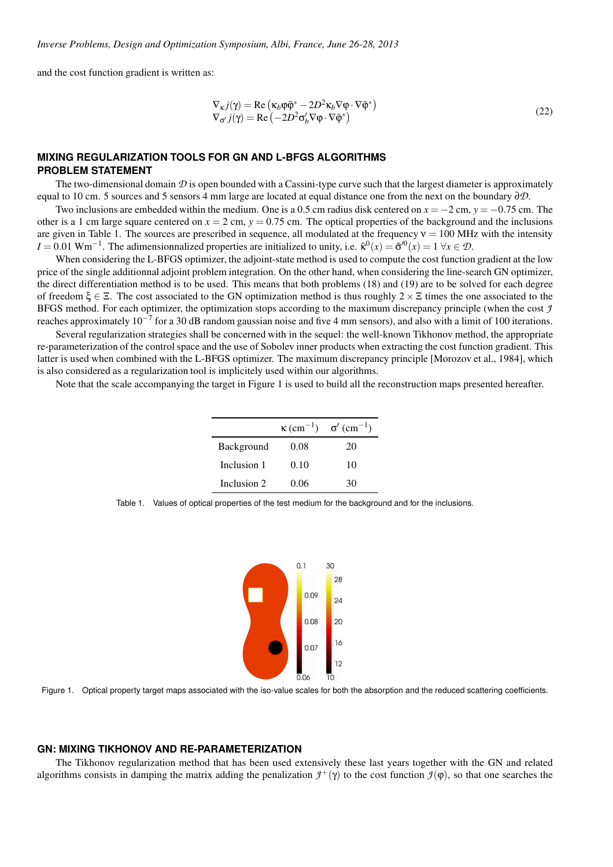and the cost function gradient is written as:

$$
\nabla_{\kappa} j(\gamma) = \text{Re}\left(\kappa_b \varphi \bar{\varphi}^* - 2D^2 \kappa_b \nabla \varphi \cdot \nabla \bar{\varphi}^*\right) \n\nabla_{\sigma'} j(\gamma) = \text{Re}\left(-2D^2 \sigma_b' \nabla \varphi \cdot \nabla \bar{\varphi}^*\right)
$$
\n(22)

## **MIXING REGULARIZATION TOOLS FOR GN AND L-BFGS ALGORITHMS PROBLEM STATEMENT**

The two-dimensional domain  $\mathcal D$  is open bounded with a Cassini-type curve such that the largest diameter is approximately equal to 10 cm. 5 sources and 5 sensors 4 mm large are located at equal distance one from the next on the boundary ∂*D*.

Two inclusions are embedded within the medium. One is a 0.5 cm radius disk centered on *x* = −2 cm, *y* = −0.75 cm. The other is a 1 cm large square centered on  $x = 2$  cm,  $y = 0.75$  cm. The optical properties of the background and the inclusions are given in Table 1. The sources are prescribed in sequence, all modulated at the frequency  $v = 100$  MHz with the intensity  $I = 0.01$  Wm<sup>-1</sup>. The adimensionnalized properties are initialized to unity, i.e.  $\tilde{\kappa}^0(x) = \tilde{\sigma}^0(x) = 1$   $\forall x \in \mathcal{D}$ .

When considering the L-BFGS optimizer, the adjoint-state method is used to compute the cost function gradient at the low price of the single additionnal adjoint problem integration. On the other hand, when considering the line-search GN optimizer, the direct differentiation method is to be used. This means that both problems (18) and (19) are to be solved for each degree of freedom  $\xi \in \Xi$ . The cost associated to the GN optimization method is thus roughly  $2 \times \Xi$  times the one associated to the BFGS method. For each optimizer, the optimization stops according to the maximum discrepancy principle (when the cost *J* reaches approximately  $10^{-7}$  for a 30 dB random gaussian noise and five 4 mm sensors), and also with a limit of 100 iterations.

Several regularization strategies shall be concerned with in the sequel: the well-known Tikhonov method, the appropriate re-parameterization of the control space and the use of Sobolev inner products when extracting the cost function gradient. This latter is used when combined with the L-BFGS optimizer. The maximum discrepancy principle [Morozov et al., 1984], which is also considered as a regularization tool is implicitely used within our algorithms.

Note that the scale accompanying the target in Figure 1 is used to build all the reconstruction maps presented hereafter.

|             |      | $\kappa$ (cm <sup>-1</sup> ) $\sigma'$ (cm <sup>-1</sup> ) |
|-------------|------|------------------------------------------------------------|
| Background  | 0.08 | 20                                                         |
| Inclusion 1 | 0.10 | 10                                                         |
| Inclusion 2 | 0.06 | 30                                                         |

Table 1. Values of optical properties of the test medium for the background and for the inclusions.



Figure 1. Optical property target maps associated with the iso-value scales for both the absorption and the reduced scattering coefficients.

### **GN: MIXING TIKHONOV AND RE-PARAMETERIZATION**

The Tikhonov regularization method that has been used extensively these last years together with the GN and related algorithms consists in damping the matrix adding the penalization  $\mathcal{I}^+(\gamma)$  to the cost function  $\mathcal{I}(\phi)$ , so that one searches the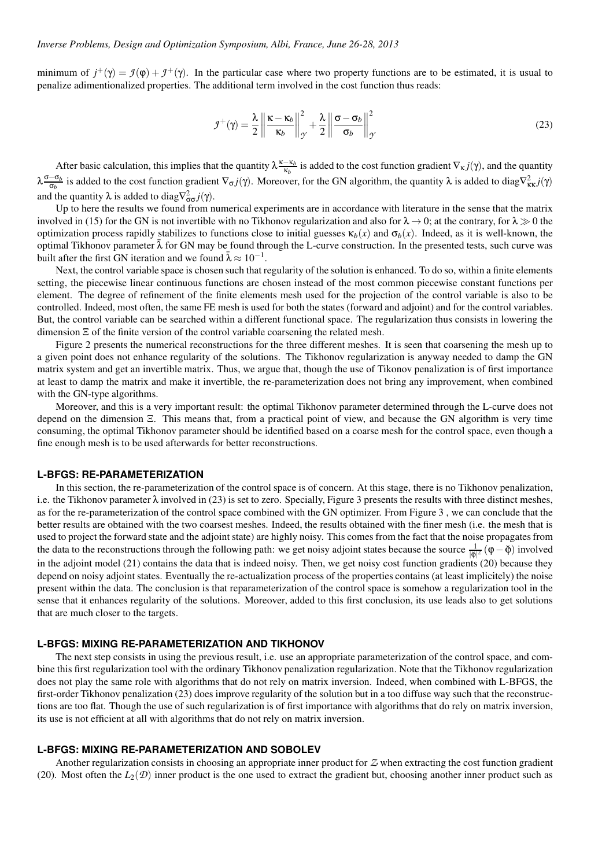minimum of  $j^+(\gamma) = \mathcal{I}(\phi) + \mathcal{I}^+(\gamma)$ . In the particular case where two property functions are to be estimated, it is usual to penalize adimentionalized properties. The additional term involved in the cost function thus reads:

$$
\mathcal{I}^+(\gamma) = \frac{\lambda}{2} \left\| \frac{\kappa - \kappa_b}{\kappa_b} \right\|_{\mathcal{I}'}^2 + \frac{\lambda}{2} \left\| \frac{\sigma - \sigma_b}{\sigma_b} \right\|_{\mathcal{I}'}^2
$$
\n(23)

After basic calculation, this implies that the quantity  $\lambda \frac{\kappa - \kappa_b}{\kappa_b}$  $\frac{-\kappa_b}{\kappa_b}$  is added to the cost function gradient  $\nabla_{\kappa} j(\gamma)$ , and the quantity λ σ−σ*<sup>b</sup>*  $\frac{-\sigma_b}{\sigma_b}$  is added to the cost function gradient  $\nabla_{\sigma} j(\gamma)$ . Moreover, for the GN algorithm, the quantity λ is added to diag $\nabla_{\kappa\kappa}^2 j(\gamma)$ and the quantity  $\lambda$  is added to diag $\nabla_{\sigma\sigma}^2 j(\gamma)$ .

Up to here the results we found from numerical experiments are in accordance with literature in the sense that the matrix involved in (15) for the GN is not invertible with no Tikhonov regularization and also for  $\lambda \to 0$ ; at the contrary, for  $\lambda \gg 0$  the optimization process rapidly stabilizes to functions close to initial guesses  $\kappa_b(x)$  and  $\sigma_b(x)$ . Indeed, as it is well-known, the optimal Tikhonov parameter  $\lambda$  for GN may be found through the L-curve construction. In the presented tests, such curve was built after the first GN iteration and we found  $\bar{\lambda} \approx 10^{-1}$ .

Next, the control variable space is chosen such that regularity of the solution is enhanced. To do so, within a finite elements setting, the piecewise linear continuous functions are chosen instead of the most common piecewise constant functions per element. The degree of refinement of the finite elements mesh used for the projection of the control variable is also to be controlled. Indeed, most often, the same FE mesh is used for both the states (forward and adjoint) and for the control variables. But, the control variable can be searched within a different functional space. The regularization thus consists in lowering the dimension Ξ of the finite version of the control variable coarsening the related mesh.

Figure 2 presents the numerical reconstructions for the three different meshes. It is seen that coarsening the mesh up to a given point does not enhance regularity of the solutions. The Tikhonov regularization is anyway needed to damp the GN matrix system and get an invertible matrix. Thus, we argue that, though the use of Tikonov penalization is of first importance at least to damp the matrix and make it invertible, the re-parameterization does not bring any improvement, when combined with the GN-type algorithms.

Moreover, and this is a very important result: the optimal Tikhonov parameter determined through the L-curve does not depend on the dimension Ξ. This means that, from a practical point of view, and because the GN algorithm is very time consuming, the optimal Tikhonov parameter should be identified based on a coarse mesh for the control space, even though a fine enough mesh is to be used afterwards for better reconstructions.

### **L-BFGS: RE-PARAMETERIZATION**

In this section, the re-parameterization of the control space is of concern. At this stage, there is no Tikhonov penalization, i.e. the Tikhonov parameter  $\lambda$  involved in (23) is set to zero. Specially, Figure 3 presents the results with three distinct meshes, as for the re-parameterization of the control space combined with the GN optimizer. From Figure 3 , we can conclude that the better results are obtained with the two coarsest meshes. Indeed, the results obtained with the finer mesh (i.e. the mesh that is used to project the forward state and the adjoint state) are highly noisy. This comes from the fact that the noise propagates from the data to the reconstructions through the following path: we get noisy adjoint states because the source  $\frac{1}{|\phi|^2}(\phi - \breve{\phi})$  involved in the adjoint model (21) contains the data that is indeed noisy. Then, we get noisy cost function gradients (20) because they depend on noisy adjoint states. Eventually the re-actualization process of the properties contains (at least implicitely) the noise present within the data. The conclusion is that reparameterization of the control space is somehow a regularization tool in the sense that it enhances regularity of the solutions. Moreover, added to this first conclusion, its use leads also to get solutions that are much closer to the targets.

#### **L-BFGS: MIXING RE-PARAMETERIZATION AND TIKHONOV**

The next step consists in using the previous result, i.e. use an appropriate parameterization of the control space, and combine this first regularization tool with the ordinary Tikhonov penalization regularization. Note that the Tikhonov regularization does not play the same role with algorithms that do not rely on matrix inversion. Indeed, when combined with L-BFGS, the first-order Tikhonov penalization (23) does improve regularity of the solution but in a too diffuse way such that the reconstructions are too flat. Though the use of such regularization is of first importance with algorithms that do rely on matrix inversion, its use is not efficient at all with algorithms that do not rely on matrix inversion.

## **L-BFGS: MIXING RE-PARAMETERIZATION AND SOBOLEV**

Another regularization consists in choosing an appropriate inner product for *Z* when extracting the cost function gradient (20). Most often the  $L_2(\mathcal{D})$  inner product is the one used to extract the gradient but, choosing another inner product such as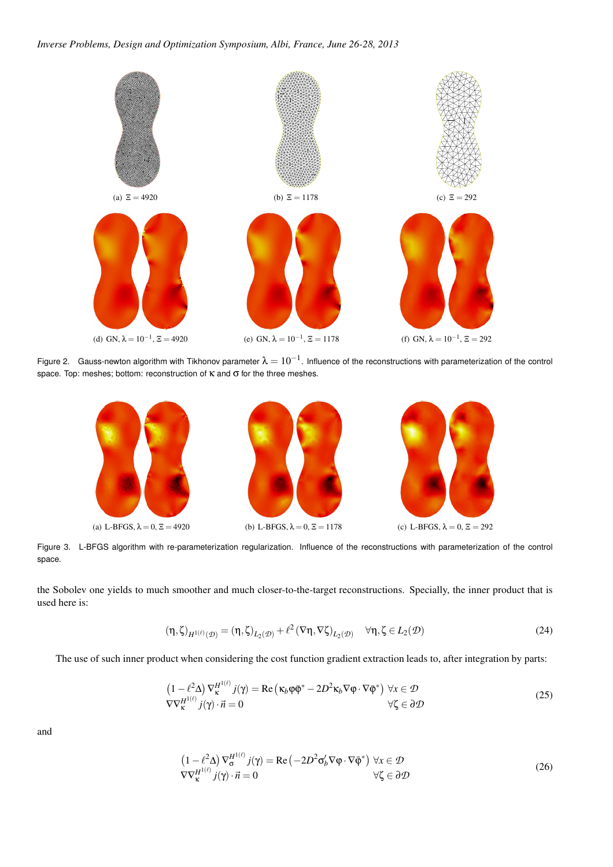

Figure 2. Gauss-newton algorithm with Tikhonov parameter  $\lambda=10^{-1}$ . Influence of the reconstructions with parameterization of the control space. Top: meshes; bottom: reconstruction of  $\kappa$  and  $\sigma$  for the three meshes.



Figure 3. L-BFGS algorithm with re-parameterization regularization. Influence of the reconstructions with parameterization of the control space.

the Sobolev one yields to much smoother and much closer-to-the-target reconstructions. Specially, the inner product that is used here is:

$$
(\eta, \zeta)_{H^{1(\ell)}(\mathcal{D})} = (\eta, \zeta)_{L_2(\mathcal{D})} + \ell^2 (\nabla \eta, \nabla \zeta)_{L_2(\mathcal{D})} \quad \forall \eta, \zeta \in L_2(\mathcal{D})
$$
\n(24)

The use of such inner product when considering the cost function gradient extraction leads to, after integration by parts:

$$
\begin{aligned}\n\left(1 - \ell^2 \Delta\right) \nabla_{\mathbf{K}}^{H^{1(\ell)}} j(\gamma) &= \text{Re}\left(\kappa_b \varphi \bar{\varphi}^* - 2D^2 \kappa_b \nabla \varphi \cdot \nabla \bar{\varphi}^*\right) \,\forall x \in \mathcal{D} \\
\nabla \nabla_{\mathbf{K}}^{H^{1(\ell)}} j(\gamma) \cdot \vec{n} &= 0\n\end{aligned} \tag{25}
$$

and

$$
(1 - \ell^2 \Delta) \nabla_{\sigma}^{H^{1(\ell)}} j(\gamma) = \text{Re}(-2D^2 \sigma_b' \nabla \varphi \cdot \nabla \bar{\varphi}^*) \ \forall x \in \mathcal{D}
$$
  
 
$$
\nabla \nabla_{\kappa}^{H^{1(\ell)}} j(\gamma) \cdot \vec{n} = 0 \qquad \forall \zeta \in \partial \mathcal{D}
$$
 (26)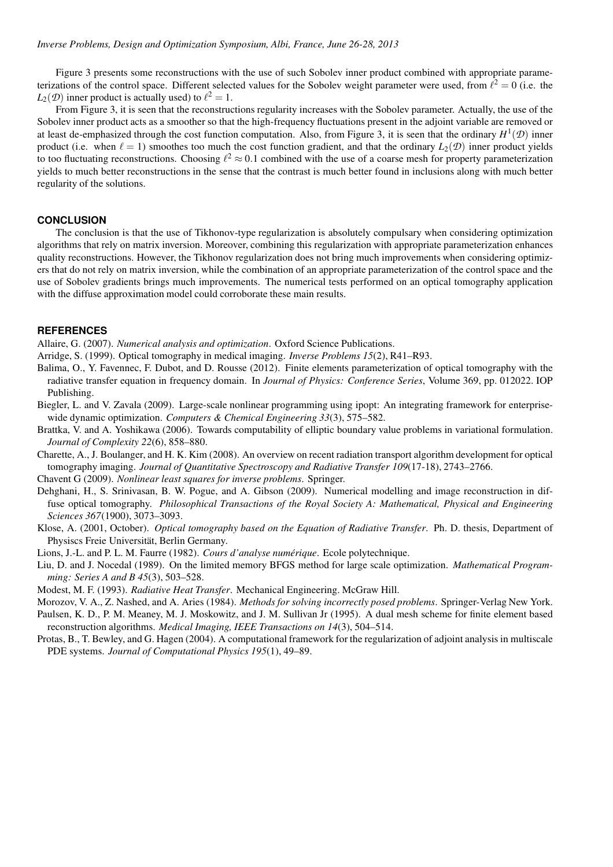Figure 3 presents some reconstructions with the use of such Sobolev inner product combined with appropriate parameterizations of the control space. Different selected values for the Sobolev weight parameter were used, from  $\ell^2 = 0$  (i.e. the  $L_2(\mathcal{D})$  inner product is actually used) to  $\ell^2 = 1$ .

From Figure 3, it is seen that the reconstructions regularity increases with the Sobolev parameter. Actually, the use of the Sobolev inner product acts as a smoother so that the high-frequency fluctuations present in the adjoint variable are removed or at least de-emphasized through the cost function computation. Also, from Figure 3, it is seen that the ordinary *H* 1 (*D*) inner product (i.e. when  $\ell = 1$ ) smoothes too much the cost function gradient, and that the ordinary  $L_2(\mathcal{D})$  inner product yields to too fluctuating reconstructions. Choosing  $l^2 \approx 0.1$  combined with the use of a coarse mesh for property parameterization yields to much better reconstructions in the sense that the contrast is much better found in inclusions along with much better regularity of the solutions.

### **CONCLUSION**

The conclusion is that the use of Tikhonov-type regularization is absolutely compulsary when considering optimization algorithms that rely on matrix inversion. Moreover, combining this regularization with appropriate parameterization enhances quality reconstructions. However, the Tikhonov regularization does not bring much improvements when considering optimizers that do not rely on matrix inversion, while the combination of an appropriate parameterization of the control space and the use of Sobolev gradients brings much improvements. The numerical tests performed on an optical tomography application with the diffuse approximation model could corroborate these main results.

### **REFERENCES**

Allaire, G. (2007). *Numerical analysis and optimization*. Oxford Science Publications.

- Arridge, S. (1999). Optical tomography in medical imaging. *Inverse Problems 15*(2), R41–R93.
- Balima, O., Y. Favennec, F. Dubot, and D. Rousse (2012). Finite elements parameterization of optical tomography with the radiative transfer equation in frequency domain. In *Journal of Physics: Conference Series*, Volume 369, pp. 012022. IOP Publishing.
- Biegler, L. and V. Zavala (2009). Large-scale nonlinear programming using ipopt: An integrating framework for enterprisewide dynamic optimization. *Computers & Chemical Engineering 33*(3), 575–582.
- Brattka, V. and A. Yoshikawa (2006). Towards computability of elliptic boundary value problems in variational formulation. *Journal of Complexity 22*(6), 858–880.
- Charette, A., J. Boulanger, and H. K. Kim (2008). An overview on recent radiation transport algorithm development for optical tomography imaging. *Journal of Quantitative Spectroscopy and Radiative Transfer 109*(17-18), 2743–2766.

Chavent G (2009). *Nonlinear least squares for inverse problems*. Springer.

- Dehghani, H., S. Srinivasan, B. W. Pogue, and A. Gibson (2009). Numerical modelling and image reconstruction in diffuse optical tomography. *Philosophical Transactions of the Royal Society A: Mathematical, Physical and Engineering Sciences 367*(1900), 3073–3093.
- Klose, A. (2001, October). *Optical tomography based on the Equation of Radiative Transfer*. Ph. D. thesis, Department of Physiscs Freie Universität, Berlin Germany.
- Lions, J.-L. and P. L. M. Faurre (1982). *Cours d'analyse numerique ´* . Ecole polytechnique.
- Liu, D. and J. Nocedal (1989). On the limited memory BFGS method for large scale optimization. *Mathematical Programming: Series A and B 45*(3), 503–528.
- Modest, M. F. (1993). *Radiative Heat Transfer*. Mechanical Engineering. McGraw Hill.
- Morozov, V. A., Z. Nashed, and A. Aries (1984). *Methods for solving incorrectly posed problems*. Springer-Verlag New York.
- Paulsen, K. D., P. M. Meaney, M. J. Moskowitz, and J. M. Sullivan Jr (1995). A dual mesh scheme for finite element based reconstruction algorithms. *Medical Imaging, IEEE Transactions on 14*(3), 504–514.
- Protas, B., T. Bewley, and G. Hagen (2004). A computational framework for the regularization of adjoint analysis in multiscale PDE systems. *Journal of Computational Physics 195*(1), 49–89.